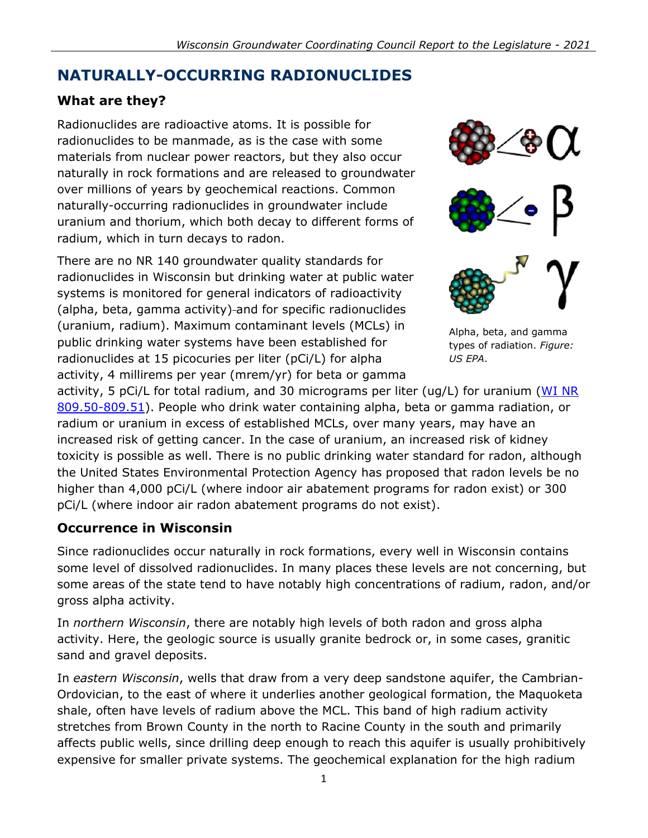# **NATURALLY-OCCURRING RADIONUCLIDES**

### **What are they?**

Radionuclides are radioactive atoms. It is possible for radionuclides to be manmade, as is the case with some materials from nuclear power reactors, but they also occur naturally in rock formations and are released to groundwater over millions of years by geochemical reactions. Common naturally-occurring radionuclides in groundwater include uranium and thorium, which both decay to different forms of radium, which in turn decays to radon.

There are no NR 140 groundwater quality standards for radionuclides in Wisconsin but drinking water at public water systems is monitored for general indicators of radioactivity (alpha, beta, gamma activity)-and for specific radionuclides (uranium, radium). Maximum contaminant levels (MCLs) in public drinking water systems have been established for radionuclides at 15 picocuries per liter (pCi/L) for alpha activity, 4 millirems per year (mrem/yr) for beta or gamma







Alpha, beta, and gamma types of radiation. *Figure: US EPA*.

activity, 5 pCi/L for total radium, and 30 micrograms per liter (ug/L) for uranium (WI NR [809.50-809.51\)](https://docs.legis.wisconsin.gov/code/admin_code/nr/800/809/I/50). People who drink water containing alpha, beta or gamma radiation, or radium or uranium in excess of established MCLs, over many years, may have an increased risk of getting cancer. In the case of uranium, an increased risk of kidney toxicity is possible as well. There is no public drinking water standard for radon, although the United States Environmental Protection Agency has proposed that radon levels be no higher than 4,000 pCi/L (where indoor air abatement programs for radon exist) or 300 pCi/L (where indoor air radon abatement programs do not exist).

#### **Occurrence in Wisconsin**

Since radionuclides occur naturally in rock formations, every well in Wisconsin contains some level of dissolved radionuclides. In many places these levels are not concerning, but some areas of the state tend to have notably high concentrations of radium, radon, and/or gross alpha activity.

In *northern Wisconsin*, there are notably high levels of both radon and gross alpha activity. Here, the geologic source is usually granite bedrock or, in some cases, granitic sand and gravel deposits.

In *eastern Wisconsin*, wells that draw from a very deep sandstone aquifer, the Cambrian-Ordovician, to the east of where it underlies another geological formation, the Maquoketa shale, often have levels of radium above the MCL. This band of high radium activity stretches from Brown County in the north to Racine County in the south and primarily affects public wells, since drilling deep enough to reach this aquifer is usually prohibitively expensive for smaller private systems. The geochemical explanation for the high radium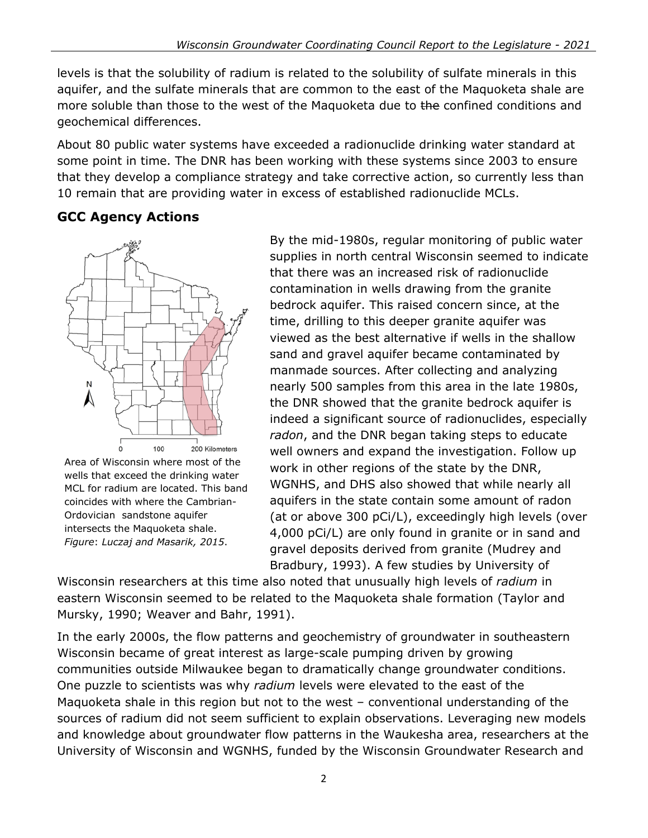levels is that the solubility of radium is related to the solubility of sulfate minerals in this aquifer, and the sulfate minerals that are common to the east of the Maquoketa shale are more soluble than those to the west of the Maguoketa due to the confined conditions and geochemical differences.

About 80 public water systems have exceeded a radionuclide drinking water standard at some point in time. The DNR has been working with these systems since 2003 to ensure that they develop a compliance strategy and take corrective action, so currently less than 10 remain that are providing water in excess of established radionuclide MCLs.

### **GCC Agency Actions**



Area of Wisconsin where most of the wells that exceed the drinking water MCL for radium are located. This band coincides with where the Cambrian-Ordovician sandstone aquifer intersects the Maquoketa shale. *Figure*: *Luczaj and Masarik, 2015*.

By the mid-1980s, regular monitoring of public water supplies in north central Wisconsin seemed to indicate that there was an increased risk of radionuclide contamination in wells drawing from the granite bedrock aquifer. This raised concern since, at the time, drilling to this deeper granite aquifer was viewed as the best alternative if wells in the shallow sand and gravel aquifer became contaminated by manmade sources. After collecting and analyzing nearly 500 samples from this area in the late 1980s, the DNR showed that the granite bedrock aquifer is indeed a significant source of radionuclides, especially *radon*, and the DNR began taking steps to educate well owners and expand the investigation. Follow up work in other regions of the state by the DNR, WGNHS, and DHS also showed that while nearly all aquifers in the state contain some amount of radon (at or above 300 pCi/L), exceedingly high levels (over 4,000 pCi/L) are only found in granite or in sand and gravel deposits derived from granite (Mudrey and Bradbury, 1993). A few studies by University of

Wisconsin researchers at this time also noted that unusually high levels of *radium* in eastern Wisconsin seemed to be related to the Maquoketa shale formation (Taylor and Mursky, 1990; Weaver and Bahr, 1991).

In the early 2000s, the flow patterns and geochemistry of groundwater in southeastern Wisconsin became of great interest as large-scale pumping driven by growing communities outside Milwaukee began to dramatically change groundwater conditions. One puzzle to scientists was why *radium* levels were elevated to the east of the Maquoketa shale in this region but not to the west – conventional understanding of the sources of radium did not seem sufficient to explain observations. Leveraging new models and knowledge about groundwater flow patterns in the Waukesha area, researchers at the University of Wisconsin and WGNHS, funded by the Wisconsin Groundwater Research and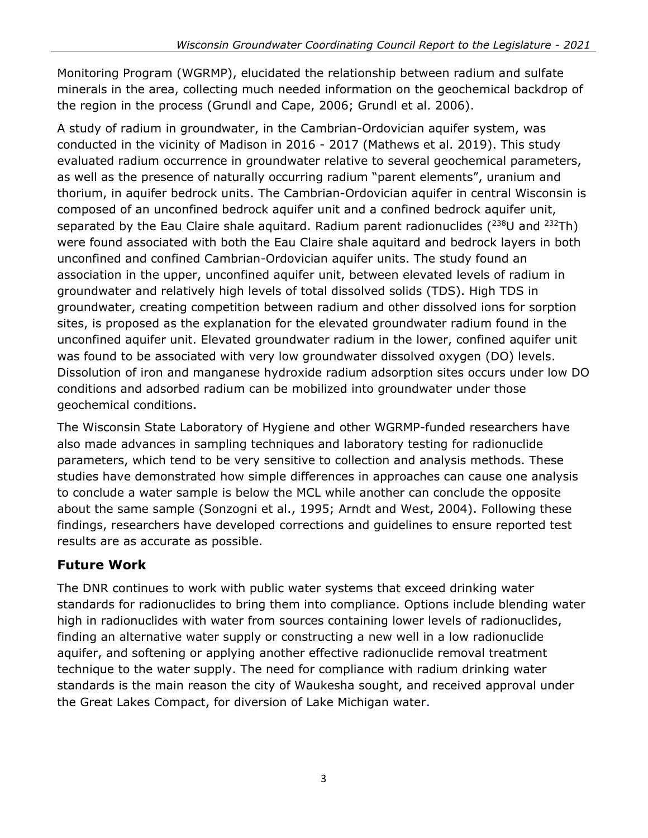Monitoring Program (WGRMP), elucidated the relationship between radium and sulfate minerals in the area, collecting much needed information on the geochemical backdrop of the region in the process (Grundl and Cape, 2006; Grundl et al. 2006).

A study of radium in groundwater, in the Cambrian-Ordovician aquifer system, was conducted in the vicinity of Madison in 2016 - 2017 (Mathews et al. 2019). This study evaluated radium occurrence in groundwater relative to several geochemical parameters, as well as the presence of naturally occurring radium "parent elements", uranium and thorium, in aquifer bedrock units. The Cambrian-Ordovician aquifer in central Wisconsin is composed of an unconfined bedrock aquifer unit and a confined bedrock aquifer unit, separated by the Eau Claire shale aquitard. Radium parent radionuclides  $(^{238}$ U and  $^{232}$ Th) were found associated with both the Eau Claire shale aquitard and bedrock layers in both unconfined and confined Cambrian-Ordovician aquifer units. The study found an association in the upper, unconfined aquifer unit, between elevated levels of radium in groundwater and relatively high levels of total dissolved solids (TDS). High TDS in groundwater, creating competition between radium and other dissolved ions for sorption sites, is proposed as the explanation for the elevated groundwater radium found in the unconfined aquifer unit. Elevated groundwater radium in the lower, confined aquifer unit was found to be associated with very low groundwater dissolved oxygen (DO) levels. Dissolution of iron and manganese hydroxide radium adsorption sites occurs under low DO conditions and adsorbed radium can be mobilized into groundwater under those geochemical conditions.

The Wisconsin State Laboratory of Hygiene and other WGRMP-funded researchers have also made advances in sampling techniques and laboratory testing for radionuclide parameters, which tend to be very sensitive to collection and analysis methods. These studies have demonstrated how simple differences in approaches can cause one analysis to conclude a water sample is below the MCL while another can conclude the opposite about the same sample (Sonzogni et al., 1995; Arndt and West, 2004). Following these findings, researchers have developed corrections and guidelines to ensure reported test results are as accurate as possible.

## **Future Work**

The DNR continues to work with public water systems that exceed drinking water standards for radionuclides to bring them into compliance. Options include blending water high in radionuclides with water from sources containing lower levels of radionuclides, finding an alternative water supply or constructing a new well in a low radionuclide aquifer, and softening or applying another effective radionuclide removal treatment technique to the water supply. The need for compliance with radium drinking water standards is the main reason the city of Waukesha sought, and received approval under the Great Lakes Compact, for diversion of Lake Michigan water.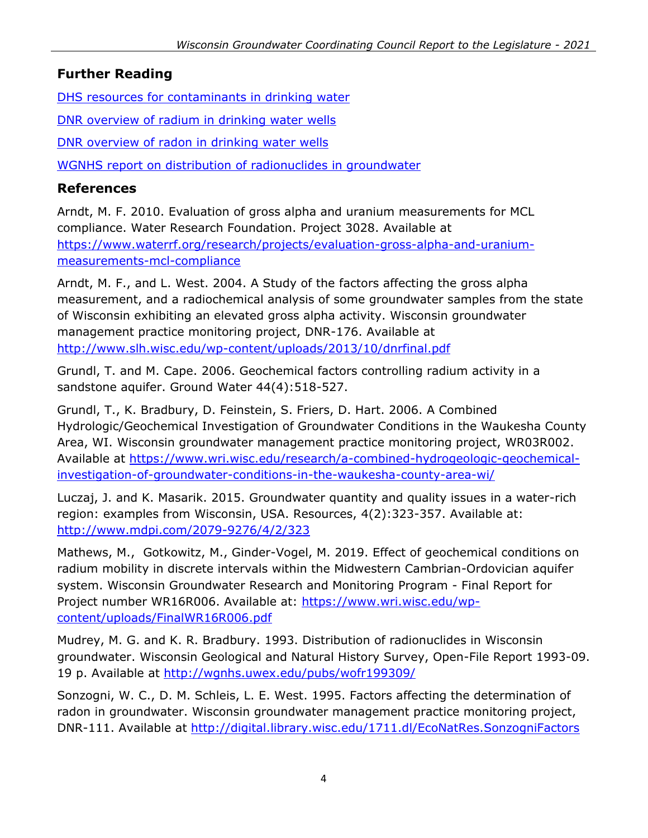#### **Further Reading**

[DHS resources for contaminants in drinking water](https://www.dhs.wisconsin.gov/water/index.htm)

[DNR overview of radium in drinking water wells](https://dnr.wi.gov/files/PDF/pubs/DG/DG0008.pdf)

[DNR overview of radon in drinking water wells](https://dnr.wisconsin.gov/topic/Wells/radon.html)

[WGNHS report on distribution of radionuclides in groundwater](https://wgnhs.wisc.edu/catalog/publication/000787/resource/wofr199309)

#### **References**

Arndt, M. F. 2010. Evaluation of gross alpha and uranium measurements for MCL compliance. Water Research Foundation. Project 3028. Available at [https://www.waterrf.org/research/projects/evaluation-gross-alpha-and-uranium](https://www.waterrf.org/research/projects/evaluation-gross-alpha-and-uranium-measurements-mcl-compliance)[measurements-mcl-compliance](https://www.waterrf.org/research/projects/evaluation-gross-alpha-and-uranium-measurements-mcl-compliance)

Arndt, M. F., and L. West. 2004. A Study of the factors affecting the gross alpha measurement, and a radiochemical analysis of some groundwater samples from the state of Wisconsin exhibiting an elevated gross alpha activity. Wisconsin groundwater management practice monitoring project, DNR-176. Available at <http://www.slh.wisc.edu/wp-content/uploads/2013/10/dnrfinal.pdf>

Grundl, T. and M. Cape. 2006. Geochemical factors controlling radium activity in a sandstone aquifer. Ground Water 44(4):518-527.

Grundl, T., K. Bradbury, D. Feinstein, S. Friers, D. Hart. 2006. A Combined Hydrologic/Geochemical Investigation of Groundwater Conditions in the Waukesha County Area, WI. Wisconsin groundwater management practice monitoring project, WR03R002. Available at [https://www.wri.wisc.edu/research/a-combined-hydrogeologic-geochemical](https://www.wri.wisc.edu/research/a-combined-hydrogeologic-geochemical-investigation-of-groundwater-conditions-in-the-waukesha-county-area-wi/)[investigation-of-groundwater-conditions-in-the-waukesha-county-area-wi/](https://www.wri.wisc.edu/research/a-combined-hydrogeologic-geochemical-investigation-of-groundwater-conditions-in-the-waukesha-county-area-wi/)

Luczaj, J. and K. Masarik. 2015. Groundwater quantity and quality issues in a water-rich region: examples from Wisconsin, USA. Resources, 4(2):323-357. Available at: <http://www.mdpi.com/2079-9276/4/2/323>

Mathews, M., Gotkowitz, M., Ginder-Vogel, M. 2019. Effect of geochemical conditions on radium mobility in discrete intervals within the Midwestern Cambrian-Ordovician aquifer system. Wisconsin Groundwater Research and Monitoring Program - Final Report for Project number WR16R006. Available at: [https://www.wri.wisc.edu/wp](https://www.wri.wisc.edu/wp-content/uploads/FinalWR16R006.pdf)[content/uploads/FinalWR16R006.pdf](https://www.wri.wisc.edu/wp-content/uploads/FinalWR16R006.pdf)

Mudrey, M. G. and K. R. Bradbury. 1993. Distribution of radionuclides in Wisconsin groundwater. Wisconsin Geological and Natural History Survey, Open-File Report 1993-09. 19 p. Available at <http://wgnhs.uwex.edu/pubs/wofr199309/>

Sonzogni, W. C., D. M. Schleis, L. E. West. 1995. Factors affecting the determination of radon in groundwater. Wisconsin groundwater management practice monitoring project, DNR-111. Available at <http://digital.library.wisc.edu/1711.dl/EcoNatRes.SonzogniFactors>